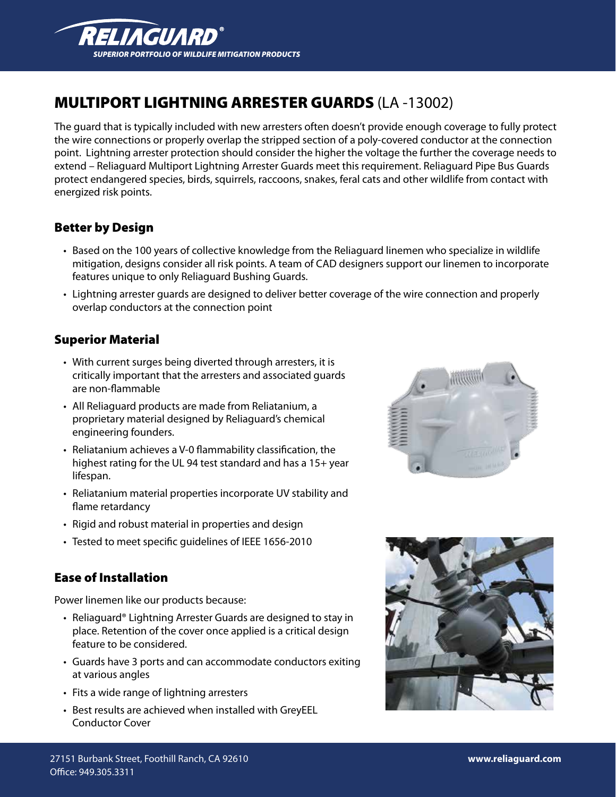

# MULTIPORT LIGHTNING ARRESTER GUARDS (LA -13002)

The guard that is typically included with new arresters often doesn't provide enough coverage to fully protect the wire connections or properly overlap the stripped section of a poly-covered conductor at the connection point. Lightning arrester protection should consider the higher the voltage the further the coverage needs to extend – Reliaguard Multiport Lightning Arrester Guards meet this requirement. Reliaguard Pipe Bus Guards protect endangered species, birds, squirrels, raccoons, snakes, feral cats and other wildlife from contact with energized risk points.

#### Better by Design

- • Based on the 100 years of collective knowledge from the Reliaguard linemen who specialize in wildlife mitigation, designs consider all risk points. A team of CAD designers support our linemen to incorporate features unique to only Reliaguard Bushing Guards.
- • Lightning arrester guards are designed to deliver better coverage of the wire connection and properly overlap conductors at the connection point

#### Superior Material

- With current surges being diverted through arresters, it is critically important that the arresters and associated guards are non-flammable
- All Reliaguard products are made from Reliatanium, a proprietary material designed by Reliaguard's chemical engineering founders.
- • Reliatanium achieves a V-0 flammability classification, the highest rating for the UL 94 test standard and has a 15+ year lifespan.
- Reliatanium material properties incorporate UV stability and flame retardancy
- Rigid and robust material in properties and design
- Tested to meet specific guidelines of IEEE 1656-2010

#### Ease of Installation

Power linemen like our products because:

- Reliaguard<sup>®</sup> Lightning Arrester Guards are designed to stay in place. Retention of the cover once applied is a critical design feature to be considered.
- Guards have 3 ports and can accommodate conductors exiting at various angles
- Fits a wide range of lightning arresters
- Best results are achieved when installed with GreyEEL Conductor Cover